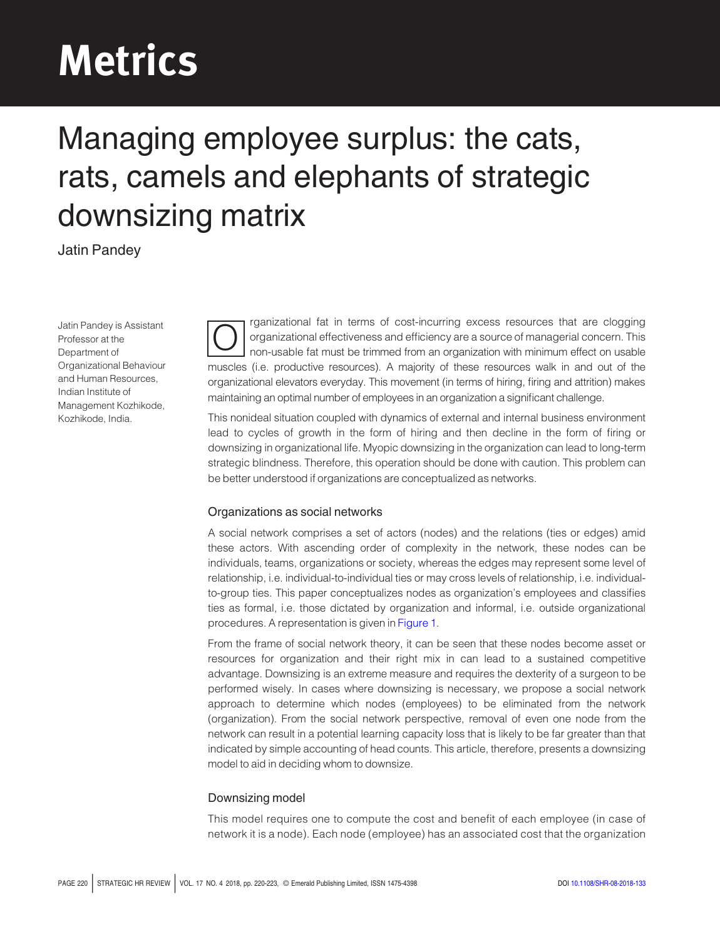# **Metrics**

## Managing employee surplus: the cats, rats, camels and elephants of strategic downsizing matrix

Jatin Pandey

Jatin Pandey is Assistant Professor at the Department of Organizational Behaviour and Human Resources, Indian Institute of Management Kozhikode, Kozhikode, India.

 $\underline{\bigcirc}$ rganizational fat in terms of cost-incurring excess resources that are clogging organizational effectiveness and efficiency are a source of managerial concern. This non-usable fat must be trimmed from an organization with minimum effect on usable muscles (i.e. productive resources). A majority of these resources walk in and out of the organizational elevators everyday. This movement (in terms of hiring, firing and attrition) makes maintaining an optimal number of employees in an organization a significant challenge.

This nonideal situation coupled with dynamics of external and internal business environment lead to cycles of growth in the form of hiring and then decline in the form of firing or downsizing in organizational life. Myopic downsizing in the organization can lead to long-term strategic blindness. Therefore, this operation should be done with caution. This problem can be better understood if organizations are conceptualized as networks.

### Organizations as social networks

A social network comprises a set of actors (nodes) and the relations (ties or edges) amid these actors. With ascending order of complexity in the network, these nodes can be individuals, teams, organizations or society, whereas the edges may represent some level of relationship, i.e. individual-to-individual ties or may cross levels of relationship, i.e. individualto-group ties. This paper conceptualizes nodes as organization's employees and classifies ties as formal, i.e. those dictated by organization and informal, i.e. outside organizational procedures. A representation is given in Figure 1.

From the frame of social network theory, it can be seen that these nodes become asset or resources for organization and their right mix in can lead to a sustained competitive advantage. Downsizing is an extreme measure and requires the dexterity of a surgeon to be performed wisely. In cases where downsizing is necessary, we propose a social network approach to determine which nodes (employees) to be eliminated from the network (organization). From the social network perspective, removal of even one node from the network can result in a potential learning capacity loss that is likely to be far greater than that indicated by simple accounting of head counts. This article, therefore, presents a downsizing model to aid in deciding whom to downsize.

### Downsizing model

This model requires one to compute the cost and benefit of each employee (in case of network it is a node). Each node (employee) has an associated cost that the organization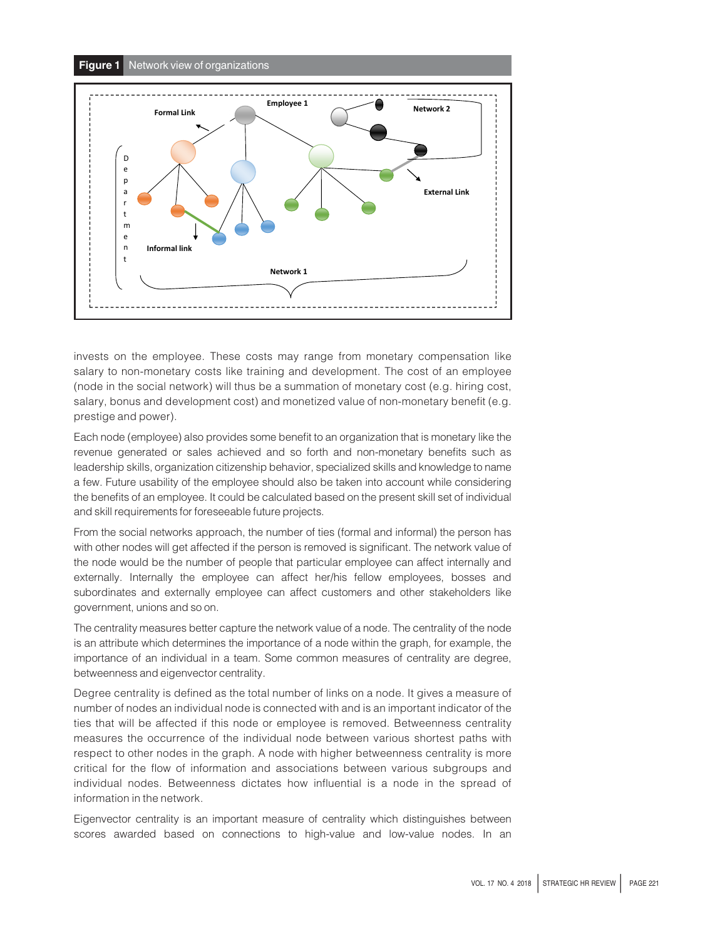

invests on the employee. These costs may range from monetary compensation like salary to non-monetary costs like training and development. The cost of an employee (node in the social network) will thus be a summation of monetary cost (e.g. hiring cost, salary, bonus and development cost) and monetized value of non-monetary benefit (e.g. prestige and power).

Each node (employee) also provides some benefit to an organization that is monetary like the revenue generated or sales achieved and so forth and non-monetary benefits such as leadership skills, organization citizenship behavior, specialized skills and knowledge to name a few. Future usability of the employee should also be taken into account while considering the benefits of an employee. It could be calculated based on the present skill set of individual and skill requirements for foreseeable future projects.

From the social networks approach, the number of ties (formal and informal) the person has with other nodes will get affected if the person is removed is significant. The network value of the node would be the number of people that particular employee can affect internally and externally. Internally the employee can affect her/his fellow employees, bosses and subordinates and externally employee can affect customers and other stakeholders like government, unions and so on.

The centrality measures better capture the network value of a node. The centrality of the node is an attribute which determines the importance of a node within the graph, for example, the importance of an individual in a team. Some common measures of centrality are degree, betweenness and eigenvector centrality.

Degree centrality is defined as the total number of links on a node. It gives a measure of number of nodes an individual node is connected with and is an important indicator of the ties that will be affected if this node or employee is removed. Betweenness centrality measures the occurrence of the individual node between various shortest paths with respect to other nodes in the graph. A node with higher betweenness centrality is more critical for the flow of information and associations between various subgroups and individual nodes. Betweenness dictates how influential is a node in the spread of information in the network.

Eigenvector centrality is an important measure of centrality which distinguishes between scores awarded based on connections to high-value and low-value nodes. In an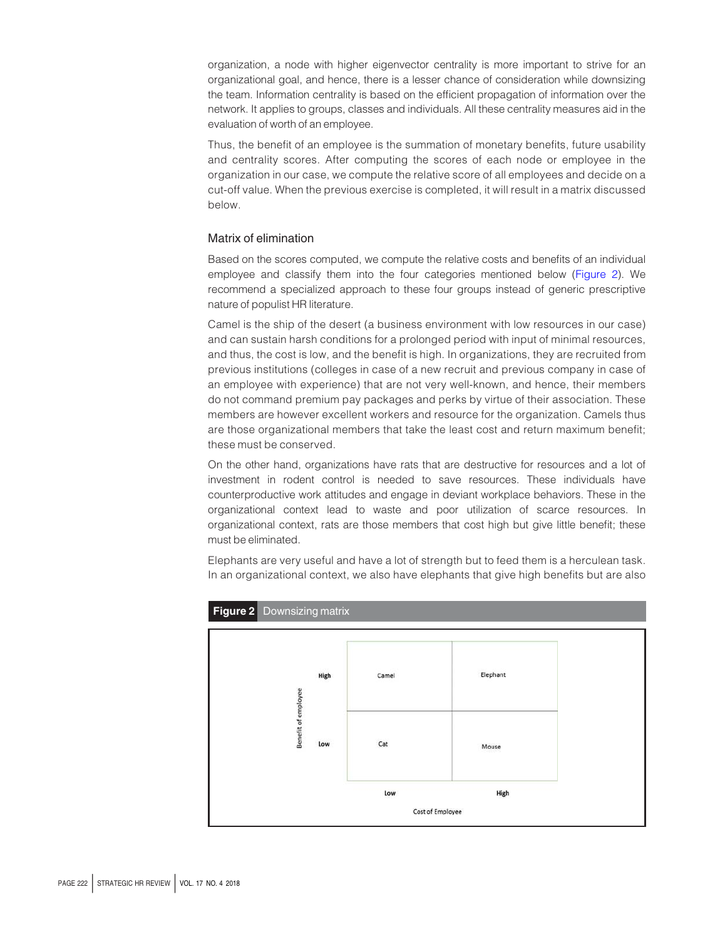organization, a node with higher eigenvector centrality is more important to strive for an organizational goal, and hence, there is a lesser chance of consideration while downsizing the team. Information centrality is based on the efficient propagation of information over the network. It applies to groups, classes and individuals. All these centrality measures aid in the evaluation of worth of an employee.

Thus, the benefit of an employee is the summation of monetary benefits, future usability and centrality scores. After computing the scores of each node or employee in the organization in our case, we compute the relative score of all employees and decide on a cut-off value. When the previous exercise is completed, it will result in a matrix discussed below.

#### Matrix of elimination

Based on the scores computed, we compute the relative costs and benefits of an individual employee and classify them into the four categories mentioned below (Figure 2). We recommend a specialized approach to these four groups instead of generic prescriptive nature of populist HR literature.

Camel is the ship of the desert (a business environment with low resources in our case) and can sustain harsh conditions for a prolonged period with input of minimal resources, and thus, the cost is low, and the benefit is high. In organizations, they are recruited from previous institutions (colleges in case of a new recruit and previous company in case of an employee with experience) that are not very well-known, and hence, their members do not command premium pay packages and perks by virtue of their association. These members are however excellent workers and resource for the organization. Camels thus are those organizational members that take the least cost and return maximum benefit; these must be conserved.

On the other hand, organizations have rats that are destructive for resources and a lot of investment in rodent control is needed to save resources. These individuals have counterproductive work attitudes and engage in deviant workplace behaviors. These in the organizational context lead to waste and poor utilization of scarce resources. In organizational context, rats are those members that cost high but give little benefit; these must be eliminated.

Elephants are very useful and have a lot of strength but to feed them is a herculean task. In an organizational context, we also have elephants that give high benefits but are also